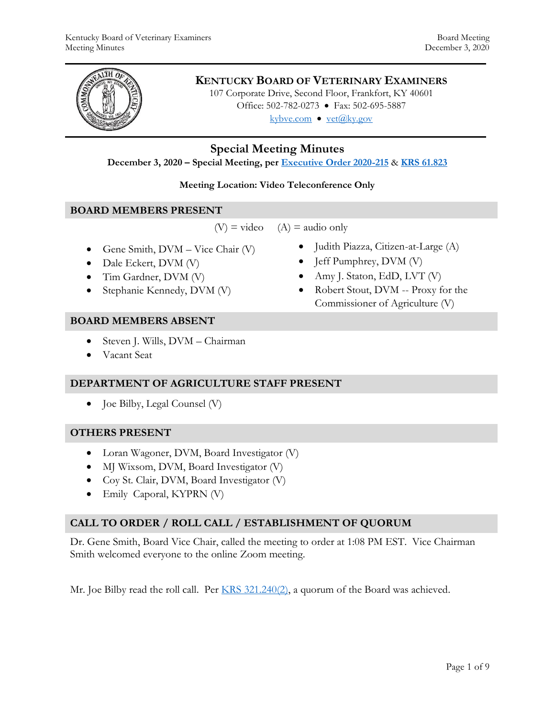

# **KENTUCKY BOARD OF VETERINARY EXAMINERS**

107 Corporate Drive, Second Floor, Frankfort, KY 40601 Office: 502-782-0273 • Fax: 502-695-5887 kybve.com  $\bullet$  yet@ky.gov

# **Special Meeting Minutes**

**December 3, 2020 – Special Meeting, per [Executive Order 2020-215](https://governor.ky.gov/attachments/20200306_Executive-Order_2020-215.pdf)** & **[KRS 61.823](https://apps.legislature.ky.gov/law/statutes/statute.aspx?id=23047)**

#### **Meeting Location: Video Teleconference Only**

#### **BOARD MEMBERS PRESENT**

 $(V)$  = video  $(A)$  = audio only

- Gene Smith,  $DVM Vice$  Chair  $(V)$
- Dale Eckert, DVM (V)
- Tim Gardner, DVM (V)
- Stephanie Kennedy, DVM (V)

## **BOARD MEMBERS ABSENT**

- Steven J. Wills, DVM Chairman
- Vacant Seat

## **DEPARTMENT OF AGRICULTURE STAFF PRESENT**

Joe Bilby, Legal Counsel (V)

## **OTHERS PRESENT**

- Loran Wagoner, DVM, Board Investigator (V)
- MJ Wixsom, DVM, Board Investigator (V)
- Coy St. Clair, DVM, Board Investigator (V)
- Emily Caporal, KYPRN (V)

## **CALL TO ORDER / ROLL CALL / ESTABLISHMENT OF QUORUM**

Dr. Gene Smith, Board Vice Chair, called the meeting to order at 1:08 PM EST. Vice Chairman Smith welcomed everyone to the online Zoom meeting.

Mr. Joe Bilby read the roll call. Per  $KRS$  321.240(2), a quorum of the Board was achieved.

- Judith Piazza, Citizen-at-Large (A)
- Jeff Pumphrey, DVM (V)
- Amy J. Staton, EdD, LVT  $(V)$
- Robert Stout, DVM -- Proxy for the Commissioner of Agriculture (V)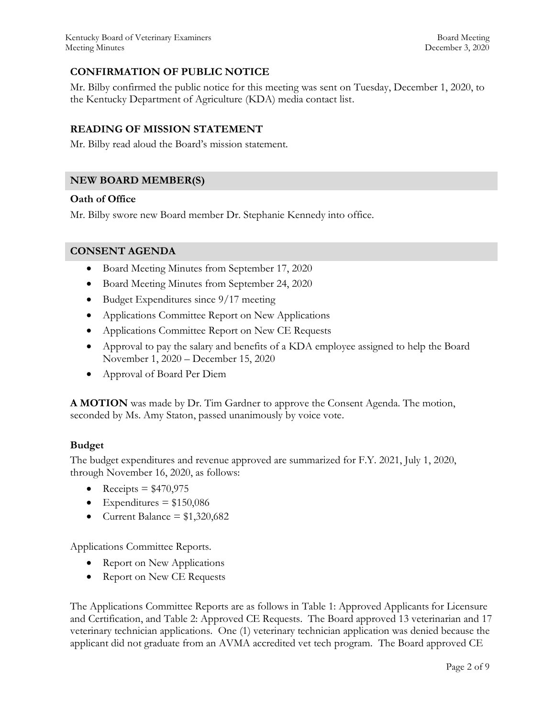# **CONFIRMATION OF PUBLIC NOTICE**

Mr. Bilby confirmed the public notice for this meeting was sent on Tuesday, December 1, 2020, to the Kentucky Department of Agriculture (KDA) media contact list.

## **READING OF MISSION STATEMENT**

Mr. Bilby read aloud the Board's mission statement.

## **NEW BOARD MEMBER(S)**

#### **Oath of Office**

Mr. Bilby swore new Board member Dr. Stephanie Kennedy into office.

#### **CONSENT AGENDA**

- Board Meeting Minutes from September 17, 2020
- Board Meeting Minutes from September 24, 2020
- Budget Expenditures since 9/17 meeting
- Applications Committee Report on New Applications
- Applications Committee Report on New CE Requests
- Approval to pay the salary and benefits of a KDA employee assigned to help the Board November 1, 2020 – December 15, 2020
- Approval of Board Per Diem

**A MOTION** was made by Dr. Tim Gardner to approve the Consent Agenda. The motion, seconded by Ms. Amy Staton, passed unanimously by voice vote.

## **Budget**

The budget expenditures and revenue approved are summarized for F.Y. 2021, July 1, 2020, through November 16, 2020, as follows:

- Receipts  $= $470,975$
- Expenditures  $= $150,086$
- Current Balance =  $$1,320,682$

Applications Committee Reports.

- Report on New Applications
- Report on New CE Requests

The Applications Committee Reports are as follows in Table 1: Approved Applicants for Licensure and Certification, and Table 2: Approved CE Requests. The Board approved 13 veterinarian and 17 veterinary technician applications. One (1) veterinary technician application was denied because the applicant did not graduate from an AVMA accredited vet tech program. The Board approved CE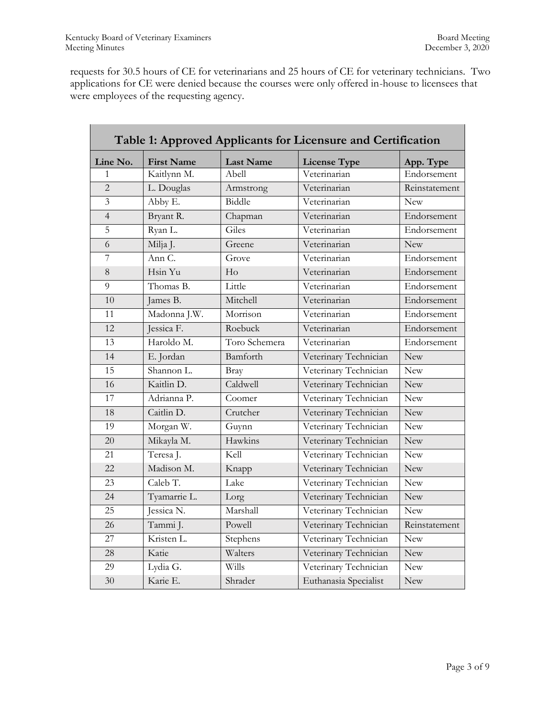requests for 30.5 hours of CE for veterinarians and 25 hours of CE for veterinary technicians. Two applications for CE were denied because the courses were only offered in-house to licensees that were employees of the requesting agency.

| Table 1: Approved Applicants for Licensure and Certification |                   |                  |                       |               |  |  |  |
|--------------------------------------------------------------|-------------------|------------------|-----------------------|---------------|--|--|--|
| Line No.                                                     | <b>First Name</b> | <b>Last Name</b> | <b>License Type</b>   | App. Type     |  |  |  |
| $\mathbf{1}$                                                 | Kaitlynn M.       | Abell            | Veterinarian          | Endorsement   |  |  |  |
| $\overline{2}$                                               | L. Douglas        | Armstrong        | Veterinarian          | Reinstatement |  |  |  |
| $\overline{3}$                                               | Abby E.           | Biddle           | Veterinarian          | <b>New</b>    |  |  |  |
| $\overline{4}$                                               | Bryant R.         | Chapman          | Veterinarian          | Endorsement   |  |  |  |
| 5                                                            | Ryan L.           | Giles            | Veterinarian          | Endorsement   |  |  |  |
| 6                                                            | Milja J.          | Greene           | Veterinarian          | <b>New</b>    |  |  |  |
| 7                                                            | Ann C.            | Grove            | Veterinarian          | Endorsement   |  |  |  |
| 8                                                            | Hsin Yu           | H <sub>o</sub>   | Veterinarian          | Endorsement   |  |  |  |
| 9                                                            | Thomas B.         | Little           | Veterinarian          | Endorsement   |  |  |  |
| 10                                                           | James B.          | Mitchell         | Veterinarian          | Endorsement   |  |  |  |
| 11                                                           | Madonna J.W.      | Morrison         | Veterinarian          | Endorsement   |  |  |  |
| 12                                                           | Jessica F.        | Roebuck          | Veterinarian          | Endorsement   |  |  |  |
| 13                                                           | Haroldo M.        | Toro Schemera    | Veterinarian          | Endorsement   |  |  |  |
| 14                                                           | E. Jordan         | Bamforth         | Veterinary Technician | <b>New</b>    |  |  |  |
| 15                                                           | Shannon L.        | Bray             | Veterinary Technician | <b>New</b>    |  |  |  |
| 16                                                           | Kaitlin D.        | Caldwell         | Veterinary Technician | <b>New</b>    |  |  |  |
| 17                                                           | Adrianna P.       | Coomer           | Veterinary Technician | <b>New</b>    |  |  |  |
| 18                                                           | Caitlin D.        | Crutcher         | Veterinary Technician | <b>New</b>    |  |  |  |
| 19                                                           | Morgan W.         | Guynn            | Veterinary Technician | <b>New</b>    |  |  |  |
| 20                                                           | Mikayla M.        | Hawkins          | Veterinary Technician | <b>New</b>    |  |  |  |
| 21                                                           | Teresa J.         | Kell             | Veterinary Technician | <b>New</b>    |  |  |  |
| 22                                                           | Madison M.        | Knapp            | Veterinary Technician | <b>New</b>    |  |  |  |
| 23                                                           | Caleb T.          | Lake             | Veterinary Technician | <b>New</b>    |  |  |  |
| 24                                                           | Tyamarrie L.      | Lorg             | Veterinary Technician | New           |  |  |  |
| 25                                                           | Jessica N.        | Marshall         | Veterinary Technician | <b>New</b>    |  |  |  |
| 26                                                           | Tammi J.          | Powell           | Veterinary Technician | Reinstatement |  |  |  |
| 27                                                           | Kristen L.        | Stephens         | Veterinary Technician | <b>New</b>    |  |  |  |
| 28                                                           | Katie             | Walters          | Veterinary Technician | <b>New</b>    |  |  |  |
| 29                                                           | Lydia G.          | Wills            | Veterinary Technician | <b>New</b>    |  |  |  |
| 30                                                           | Karie E.          | Shrader          | Euthanasia Specialist | New           |  |  |  |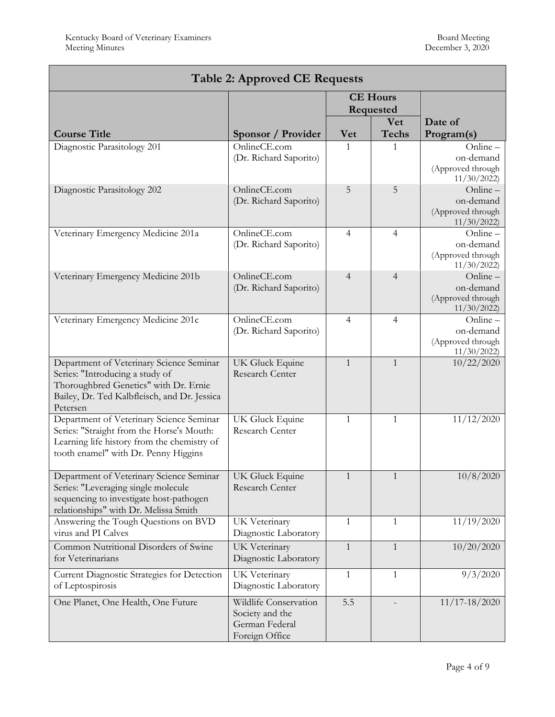| <b>Table 2: Approved CE Requests</b>                                                                                                                                             |                                                                              |                |                            |                                                            |  |  |  |
|----------------------------------------------------------------------------------------------------------------------------------------------------------------------------------|------------------------------------------------------------------------------|----------------|----------------------------|------------------------------------------------------------|--|--|--|
|                                                                                                                                                                                  | <b>CE Hours</b><br>Requested                                                 |                |                            |                                                            |  |  |  |
| <b>Course Title</b>                                                                                                                                                              | Sponsor / Provider                                                           | <b>Vet</b>     | <b>Vet</b><br><b>Techs</b> | Date of<br>Program(s)                                      |  |  |  |
| Diagnostic Parasitology 201                                                                                                                                                      | OnlineCE.com<br>(Dr. Richard Saporito)                                       | 1              |                            | $Online -$<br>on-demand<br>(Approved through<br>11/30/2022 |  |  |  |
| Diagnostic Parasitology 202                                                                                                                                                      | OnlineCE.com<br>(Dr. Richard Saporito)                                       | 5              | 5                          | Online-<br>on-demand<br>(Approved through<br>11/30/2022    |  |  |  |
| Veterinary Emergency Medicine 201a                                                                                                                                               | OnlineCE.com<br>(Dr. Richard Saporito)                                       | 4              | $\overline{4}$             | Online-<br>on-demand<br>(Approved through<br>11/30/2022    |  |  |  |
| Veterinary Emergency Medicine 201b                                                                                                                                               | OnlineCE.com<br>(Dr. Richard Saporito)                                       | $\overline{4}$ | $\overline{4}$             | Online-<br>on-demand<br>(Approved through<br>11/30/2022    |  |  |  |
| Veterinary Emergency Medicine 201c                                                                                                                                               | OnlineCE.com<br>(Dr. Richard Saporito)                                       | 4              | 4                          | $Online -$<br>on-demand<br>(Approved through<br>11/30/2022 |  |  |  |
| Department of Veterinary Science Seminar<br>Series: "Introducing a study of<br>Thoroughbred Genetics" with Dr. Ernie<br>Bailey, Dr. Ted Kalbfleisch, and Dr. Jessica<br>Petersen | <b>UK Gluck Equine</b><br>Research Center                                    | $\mathbf{1}$   | $\mathbf{1}$               | 10/22/2020                                                 |  |  |  |
| Department of Veterinary Science Seminar<br>Series: "Straight from the Horse's Mouth:<br>Learning life history from the chemistry of<br>tooth enamel" with Dr. Penny Higgins     | UK Gluck Equine<br>Research Center                                           | 1              | 1                          | 11/12/2020                                                 |  |  |  |
| Department of Veterinary Science Seminar<br>Series: "Leveraging single molecule<br>sequencing to investigate host-pathogen<br>relationships" with Dr. Melissa Smith              | UK Gluck Equine<br>Research Center                                           | $\mathbf{1}$   | $\mathbf{1}$               | 10/8/2020                                                  |  |  |  |
| Answering the Tough Questions on BVD<br>virus and PI Calves                                                                                                                      | UK Veterinary<br>Diagnostic Laboratory                                       | 1              | $\mathbf{1}$               | 11/19/2020                                                 |  |  |  |
| Common Nutritional Disorders of Swine<br>for Veterinarians                                                                                                                       | UK Veterinary<br>Diagnostic Laboratory                                       | $\mathbf{1}$   | $\mathbf{1}$               | 10/20/2020                                                 |  |  |  |
| Current Diagnostic Strategies for Detection<br>of Leptospirosis                                                                                                                  | UK Veterinary<br>Diagnostic Laboratory                                       | $\mathbf{1}$   | $\mathbf{1}$               | 9/3/2020                                                   |  |  |  |
| One Planet, One Health, One Future                                                                                                                                               | Wildlife Conservation<br>Society and the<br>German Federal<br>Foreign Office | 5.5            |                            | $11/17 - 18/2020$                                          |  |  |  |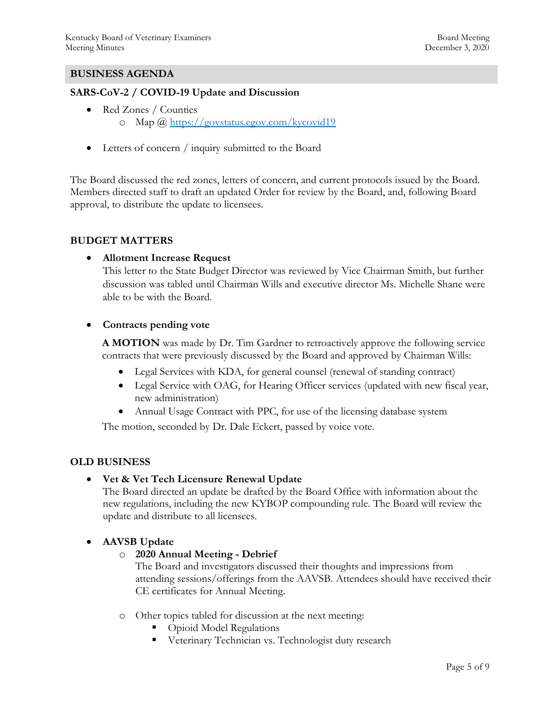#### **BUSINESS AGENDA**

#### **SARS-CoV-2 / COVID-19 Update and Discussion**

- Red Zones / Counties o Map @<https://govstatus.egov.com/kycovid19>
- Letters of concern / inquiry submitted to the Board

The Board discussed the red zones, letters of concern, and current protocols issued by the Board. Members directed staff to draft an updated Order for review by the Board, and, following Board approval, to distribute the update to licensees.

#### **BUDGET MATTERS**

#### **Allotment Increase Request**

This letter to the State Budget Director was reviewed by Vice Chairman Smith, but further discussion was tabled until Chairman Wills and executive director Ms. Michelle Shane were able to be with the Board.

#### **Contracts pending vote**

**A MOTION** was made by Dr. Tim Gardner to retroactively approve the following service contracts that were previously discussed by the Board and approved by Chairman Wills:

- Legal Services with KDA, for general counsel (renewal of standing contract)
- Legal Service with OAG, for Hearing Officer services (updated with new fiscal year, new administration)
- Annual Usage Contract with PPC, for use of the licensing database system

The motion, seconded by Dr. Dale Eckert, passed by voice vote.

## **OLD BUSINESS**

**Vet & Vet Tech Licensure Renewal Update**

The Board directed an update be drafted by the Board Office with information about the new regulations, including the new KYBOP compounding rule. The Board will review the update and distribute to all licensees.

## **AAVSB Update**

## o **2020 Annual Meeting - Debrief**

The Board and investigators discussed their thoughts and impressions from attending sessions/offerings from the AAVSB. Attendees should have received their CE certificates for Annual Meeting.

- o Other topics tabled for discussion at the next meeting:
	- Opioid Model Regulations
	- **Veterinary Technician vs. Technologist duty research**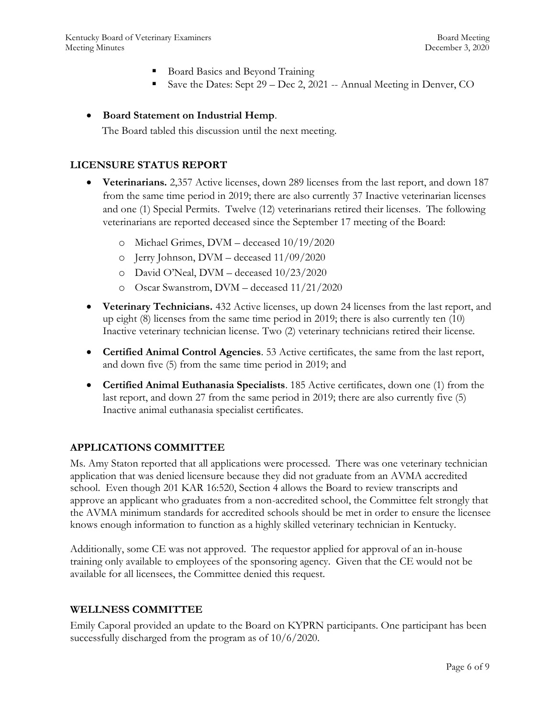- Board Basics and Beyond Training
- Save the Dates: Sept 29 Dec 2, 2021 -- Annual Meeting in Denver, CO

#### **Board Statement on Industrial Hemp**.

The Board tabled this discussion until the next meeting.

#### **LICENSURE STATUS REPORT**

- **Veterinarians.** 2,357 Active licenses, down 289 licenses from the last report, and down 187 from the same time period in 2019; there are also currently 37 Inactive veterinarian licenses and one (1) Special Permits. Twelve (12) veterinarians retired their licenses. The following veterinarians are reported deceased since the September 17 meeting of the Board:
	- o Michael Grimes, DVM deceased 10/19/2020
	- o Jerry Johnson, DVM deceased 11/09/2020
	- o David O'Neal, DVM deceased 10/23/2020
	- o Oscar Swanstrom, DVM deceased 11/21/2020
- **Veterinary Technicians.** 432 Active licenses, up down 24 licenses from the last report, and up eight (8) licenses from the same time period in 2019; there is also currently ten (10) Inactive veterinary technician license. Two (2) veterinary technicians retired their license.
- **Certified Animal Control Agencies**. 53 Active certificates, the same from the last report, and down five (5) from the same time period in 2019; and
- **Certified Animal Euthanasia Specialists**. 185 Active certificates, down one (1) from the last report, and down 27 from the same period in 2019; there are also currently five (5) Inactive animal euthanasia specialist certificates.

## **APPLICATIONS COMMITTEE**

Ms. Amy Staton reported that all applications were processed. There was one veterinary technician application that was denied licensure because they did not graduate from an AVMA accredited school. Even though 201 KAR 16:520, Section 4 allows the Board to review transcripts and approve an applicant who graduates from a non-accredited school, the Committee felt strongly that the AVMA minimum standards for accredited schools should be met in order to ensure the licensee knows enough information to function as a highly skilled veterinary technician in Kentucky.

Additionally, some CE was not approved. The requestor applied for approval of an in-house training only available to employees of the sponsoring agency. Given that the CE would not be available for all licensees, the Committee denied this request.

#### **WELLNESS COMMITTEE**

Emily Caporal provided an update to the Board on KYPRN participants. One participant has been successfully discharged from the program as of 10/6/2020.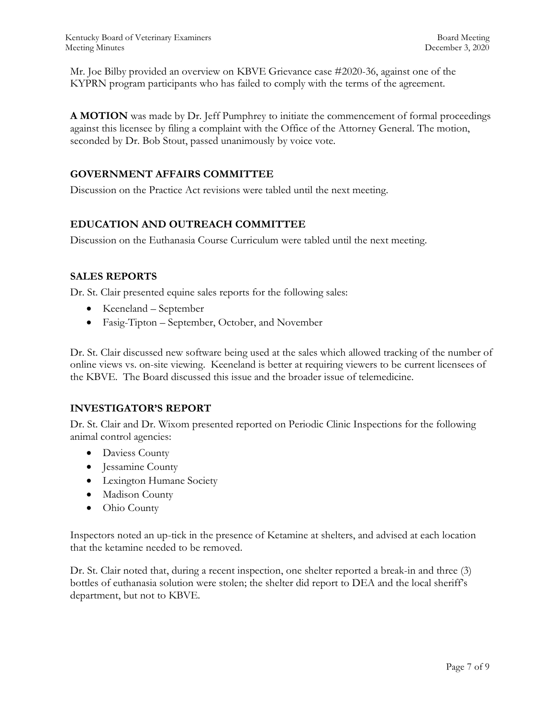Mr. Joe Bilby provided an overview on KBVE Grievance case #2020-36, against one of the KYPRN program participants who has failed to comply with the terms of the agreement.

**A MOTION** was made by Dr. Jeff Pumphrey to initiate the commencement of formal proceedings against this licensee by filing a complaint with the Office of the Attorney General. The motion, seconded by Dr. Bob Stout, passed unanimously by voice vote.

## **GOVERNMENT AFFAIRS COMMITTEE**

Discussion on the Practice Act revisions were tabled until the next meeting.

## **EDUCATION AND OUTREACH COMMITTEE**

Discussion on the Euthanasia Course Curriculum were tabled until the next meeting.

## **SALES REPORTS**

Dr. St. Clair presented equine sales reports for the following sales:

- Keeneland September
- Fasig-Tipton September, October, and November

Dr. St. Clair discussed new software being used at the sales which allowed tracking of the number of online views vs. on-site viewing. Keeneland is better at requiring viewers to be current licensees of the KBVE. The Board discussed this issue and the broader issue of telemedicine.

## **INVESTIGATOR'S REPORT**

Dr. St. Clair and Dr. Wixom presented reported on Periodic Clinic Inspections for the following animal control agencies:

- Daviess County
- Jessamine County
- Lexington Humane Society
- Madison County
- Ohio County

Inspectors noted an up-tick in the presence of Ketamine at shelters, and advised at each location that the ketamine needed to be removed.

Dr. St. Clair noted that, during a recent inspection, one shelter reported a break-in and three (3) bottles of euthanasia solution were stolen; the shelter did report to DEA and the local sheriff's department, but not to KBVE.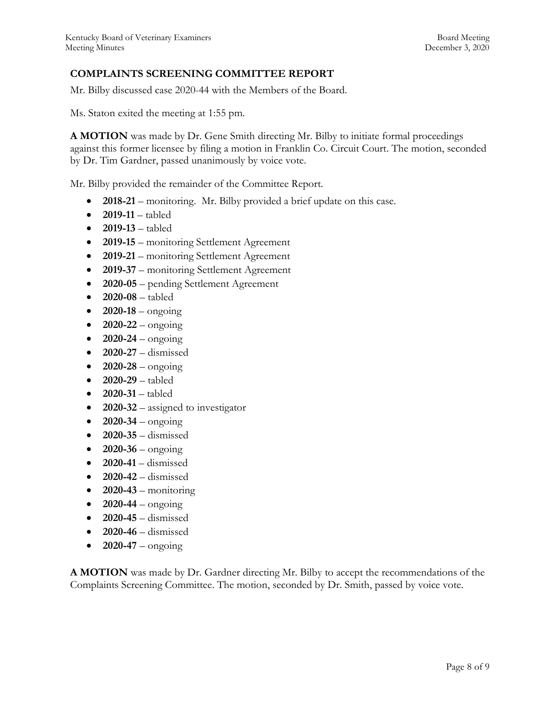## **COMPLAINTS SCREENING COMMITTEE REPORT**

Mr. Bilby discussed case 2020-44 with the Members of the Board.

Ms. Staton exited the meeting at 1:55 pm.

**A MOTION** was made by Dr. Gene Smith directing Mr. Bilby to initiate formal proceedings against this former licensee by filing a motion in Franklin Co. Circuit Court. The motion, seconded by Dr. Tim Gardner, passed unanimously by voice vote.

Mr. Bilby provided the remainder of the Committee Report.

- **2018-21** monitoring. Mr. Bilby provided a brief update on this case.
- **2019-11**  tabled
- **2019-13**  tabled
- **2019-15**  monitoring Settlement Agreement
- **2019-21**  monitoring Settlement Agreement
- **2019-37** monitoring Settlement Agreement
- **2020-05**  pending Settlement Agreement
- **2020-08**  tabled
- $2020 18 \text{ongoing}$
- **2020-22**  ongoing
- $2020 24 \text{ongoing}$
- **2020-27**  dismissed
- $\bullet$  **2020-28** ongoing
- **2020-29**  tabled
- **2020-31**  tabled
- **2020-32** assigned to investigator
- $2020 34 \text{ongoing}$
- **2020-35**  dismissed
- $\bullet$  **2020-36** ongoing
- **2020-41**  dismissed
- **2020-42**  dismissed
- $\bullet$  **2020-43** monitoring
- $2020-44 \text{ongoing}$
- **2020-45**  dismissed
- **2020-46**  dismissed
- $2020-47 -$  ongoing

**A MOTION** was made by Dr. Gardner directing Mr. Bilby to accept the recommendations of the Complaints Screening Committee. The motion, seconded by Dr. Smith, passed by voice vote.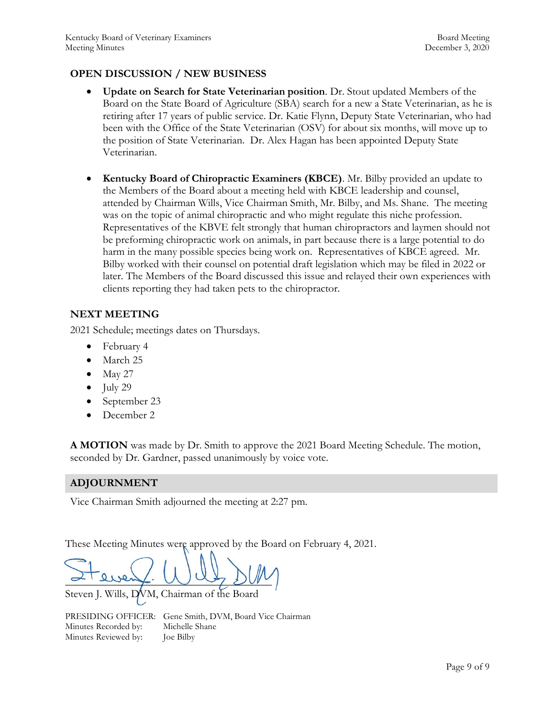## **OPEN DISCUSSION / NEW BUSINESS**

- **Update on Search for State Veterinarian position**. Dr. Stout updated Members of the Board on the State Board of Agriculture (SBA) search for a new a State Veterinarian, as he is retiring after 17 years of public service. Dr. Katie Flynn, Deputy State Veterinarian, who had been with the Office of the State Veterinarian (OSV) for about six months, will move up to the position of State Veterinarian. Dr. Alex Hagan has been appointed Deputy State Veterinarian.
- **Kentucky Board of Chiropractic Examiners (KBCE)**. Mr. Bilby provided an update to the Members of the Board about a meeting held with KBCE leadership and counsel, attended by Chairman Wills, Vice Chairman Smith, Mr. Bilby, and Ms. Shane. The meeting was on the topic of animal chiropractic and who might regulate this niche profession. Representatives of the KBVE felt strongly that human chiropractors and laymen should not be preforming chiropractic work on animals, in part because there is a large potential to do harm in the many possible species being work on. Representatives of KBCE agreed. Mr. Bilby worked with their counsel on potential draft legislation which may be filed in 2022 or later. The Members of the Board discussed this issue and relayed their own experiences with clients reporting they had taken pets to the chiropractor.

## **NEXT MEETING**

2021 Schedule; meetings dates on Thursdays.

- February 4
- March 25
- May 27
- $\bullet$  July 29
- September 23
- December 2

**A MOTION** was made by Dr. Smith to approve the 2021 Board Meeting Schedule. The motion, seconded by Dr. Gardner, passed unanimously by voice vote.

## **ADJOURNMENT**

Vice Chairman Smith adjourned the meeting at 2:27 pm.

These Meeting Minutes were approved by the Board on February 4, 2021.

 $\sim$  event. Way  $\mathcal{D}^{uv}$ 

Steven J. Wills, DVM, Chairman of the Board

PRESIDING OFFICER: Gene Smith, DVM, Board Vice Chairman Minutes Recorded by: Michelle Shane Minutes Reviewed by: Joe Bilby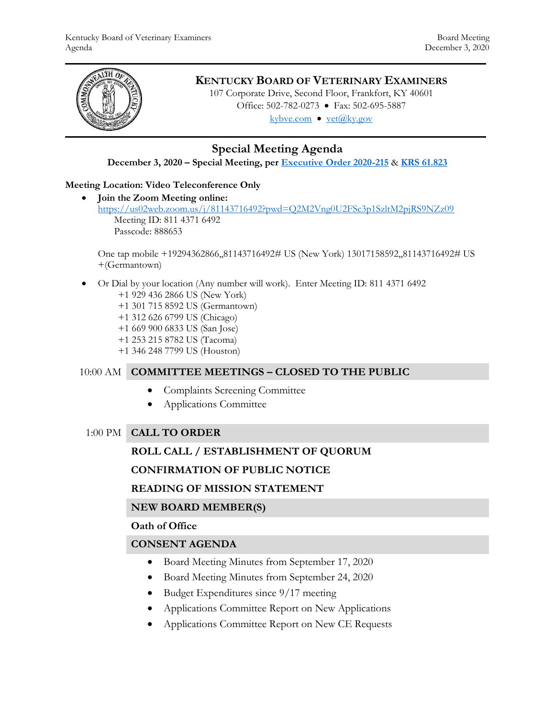

# **KENTUCKY BOARD OF VETERINARY EXAMINERS**

107 Corporate Drive, Second Floor, Frankfort, KY 40601 Office: 502-782-0273 • Fax: 502-695-5887 kybve.com  $\bullet$  vet $(\widehat{a}$ ky.gov

# **Special Meeting Agenda**

**December 3, 2020 – Special Meeting, per [Executive Order 2020-215](https://governor.ky.gov/attachments/20200306_Executive-Order_2020-215.pdf)** & **[KRS 61.823](https://apps.legislature.ky.gov/law/statutes/statute.aspx?id=23047)**

## **Meeting Location: Video Teleconference Only**

 **Join the Zoom Meeting online:**  <https://us02web.zoom.us/j/81143716492?pwd=Q2M2Vng0U2FSc3p1SzltM2pjRS9NZz09> Meeting ID: 811 4371 6492 Passcode: 888653

One tap mobile +19294362866,,81143716492# US (New York) 13017158592,,81143716492# US +(Germantown)

 Or Dial by your location (Any number will work). Enter Meeting ID: 811 4371 6492 +1 929 436 2866 US (New York)

+1 301 715 8592 US (Germantown)

- +1 312 626 6799 US (Chicago)
- +1 669 900 6833 US (San Jose)
- +1 253 215 8782 US (Tacoma)
- +1 346 248 7799 US (Houston)

## 10:00 AM **COMMITTEE MEETINGS – CLOSED TO THE PUBLIC**

- Complaints Screening Committee
- Applications Committee

## 1:00 PM **CALL TO ORDER**

## **ROLL CALL / ESTABLISHMENT OF QUORUM**

## **CONFIRMATION OF PUBLIC NOTICE**

## **READING OF MISSION STATEMENT**

## **NEW BOARD MEMBER(S)**

#### **Oath of Office**

## **CONSENT AGENDA**

- Board Meeting Minutes from September 17, 2020
- Board Meeting Minutes from September 24, 2020
- Budget Expenditures since 9/17 meeting
- Applications Committee Report on New Applications
- Applications Committee Report on New CE Requests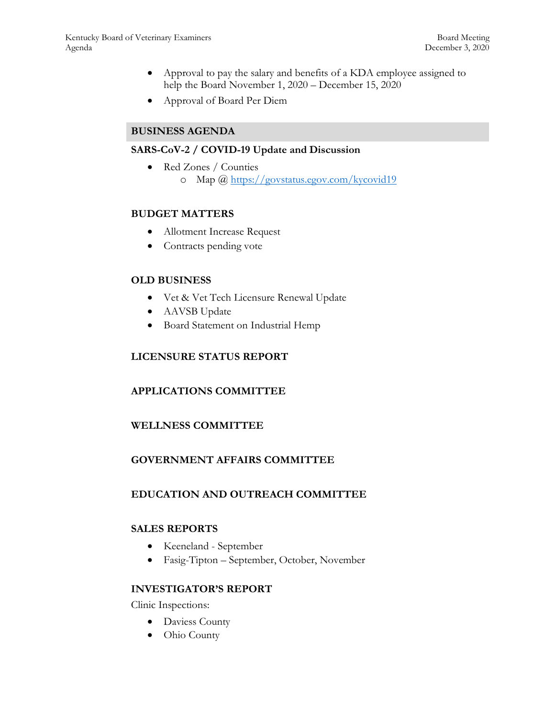- Approval to pay the salary and benefits of a KDA employee assigned to help the Board November 1, 2020 – December 15, 2020
- Approval of Board Per Diem

## **BUSINESS AGENDA**

## **SARS-CoV-2 / COVID-19 Update and Discussion**

• Red Zones / Counties o Map @<https://govstatus.egov.com/kycovid19>

#### **BUDGET MATTERS**

- Allotment Increase Request
- Contracts pending vote

#### **OLD BUSINESS**

- Vet & Vet Tech Licensure Renewal Update
- AAVSB Update
- Board Statement on Industrial Hemp

#### **LICENSURE STATUS REPORT**

## **APPLICATIONS COMMITTEE**

## **WELLNESS COMMITTEE**

## **GOVERNMENT AFFAIRS COMMITTEE**

## **EDUCATION AND OUTREACH COMMITTEE**

#### **SALES REPORTS**

- Keeneland September
- Fasig-Tipton September, October, November

#### **INVESTIGATOR'S REPORT**

Clinic Inspections:

- Daviess County
- Ohio County